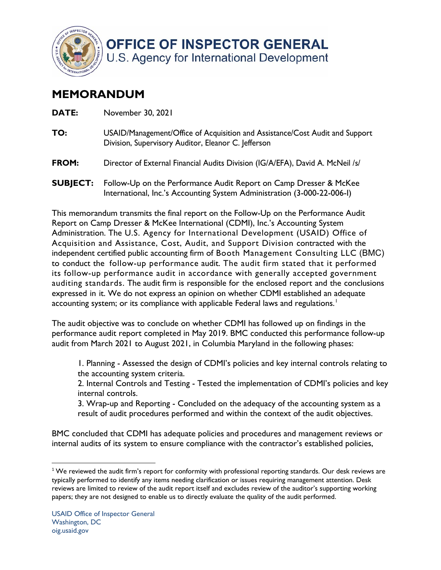

**OFFICE OF INSPECTOR GENERAL** U.S. Agency for International Development

## **MEMORANDUM**

| DATE:        | November 30, 2021                                                                                                                   |
|--------------|-------------------------------------------------------------------------------------------------------------------------------------|
| TO:          | USAID/Management/Office of Acquisition and Assistance/Cost Audit and Support<br>Division, Supervisory Auditor, Eleanor C. Jefferson |
| <b>FROM:</b> | Director of External Financial Audits Division (IG/A/EFA), David A. McNeil /s/                                                      |
|              | <b>SUBJECT:</b> Follow-Up on the Performance Audit Report on Camp Dresser & McKee                                                   |

 This memorandum transmits the final report on the Follow-Up on the Performance Audit Administration. The U.S. Agency for International Development (USAID) Office of Acquisition and Assistance, Cost, Audit, and Support Division contracted with the to conduct the follow-up performance audit. The audit firm stated that it performed its follow-up performance audit in accordance with generally accepted government auditing standards. The audit firm is responsible for the enclosed report and the conclusions expressed in it. We do not express an opinion on whether CDMI established an adequate accounting system; or its compliance with applicable Federal laws and regulations. $^{\mathrm{!}}$ Report on Camp Dresser & McKee International (CDMI), Inc.'s Accounting System independent certified public accounting firm of Booth Management Consulting LLC (BMC)

International, Inc.'s Accounting System Administration (3-000-22-006-I)

audit from March 2021 to August 2021, in Columbia Maryland in the following phases: The audit objective was to conclude on whether CDMI has followed up on findings in the performance audit report completed in May 2019. BMC conducted this performance follow-up

1. Planning - Assessed the design of CDMI's policies and key internal controls relating to the accounting system criteria.

 2. Internal Controls and Testing - Tested the implementation of CDMI's policies and key internal controls.

 result of audit procedures performed and within the context of the audit objectives. 3. Wrap-up and Reporting - Concluded on the adequacy of the accounting system as a

BMC concluded that CDMI has adequate policies and procedures and management reviews or internal audits of its system to ensure compliance with the contractor's established policies,

 $1$ We reviewed the audit firm's report for conformity with professional reporting standards. Our desk reviews are typically performed to identify any items needing clarification or issues requiring management attention. Desk reviews are limited to review of the audit report itself and excludes review of the auditor's supporting working papers; they are not designed to enable us to directly evaluate the quality of the audit performed.